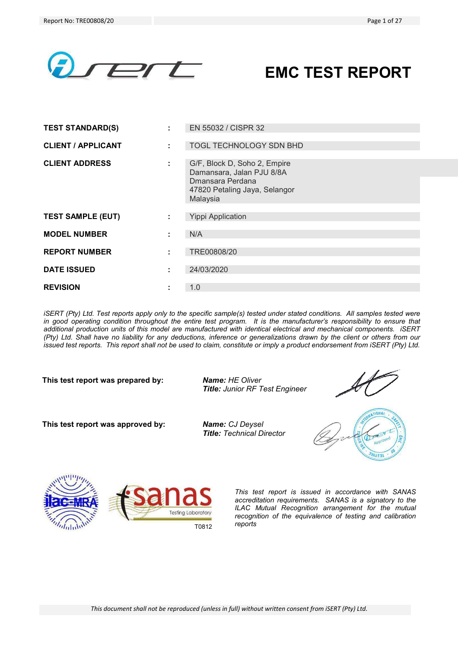

# **EMC TEST REPORT**

| <b>TEST STANDARD(S)</b>   |    | EN 55032 / CISPR 32                                                                                                        |
|---------------------------|----|----------------------------------------------------------------------------------------------------------------------------|
| <b>CLIENT / APPLICANT</b> |    | TOGL TECHNOLOGY SDN BHD                                                                                                    |
| <b>CLIENT ADDRESS</b>     | ÷. | G/F, Block D, Soho 2, Empire<br>Damansara, Jalan PJU 8/8A<br>Dmansara Perdana<br>47820 Petaling Jaya, Selangor<br>Malaysia |
| <b>TEST SAMPLE (EUT)</b>  |    | <b>Yippi Application</b>                                                                                                   |
| <b>MODEL NUMBER</b>       | ٠  | N/A                                                                                                                        |
| <b>REPORT NUMBER</b>      |    | TRE00808/20                                                                                                                |
| <b>DATE ISSUED</b>        |    | 24/03/2020                                                                                                                 |
| <b>REVISION</b>           |    | 1.0                                                                                                                        |

*iSERT (Pty) Ltd. Test reports apply only to the specific sample(s) tested under stated conditions. All samples tested were* in good operating condition throughout the entire test program. It is the manufacturer's responsibility to ensure that *additional production units of this model are manufactured with identical electrical and mechanical components. iSERT (Pty) Ltd. Shall have no liability for any deductions, inference or generalizations drawn by the client or others from our issued test reports. This report shall not be used to claim, constitute or imply a product endorsement from iSERT (Pty) Ltd.* 

**This test report was prepared by:** *Name: HE Oliver* 

*Title: Junior RF Test Engineer*

**This test report was approved by:** *Name: CJ Deysel* 

*Title: Technical Director* 







*This test report is issued in accordance with SANAS accreditation requirements. SANAS is a signatory to the ILAC Mutual Recognition arrangement for the mutual recognition of the equivalence of testing and calibration reports* T0812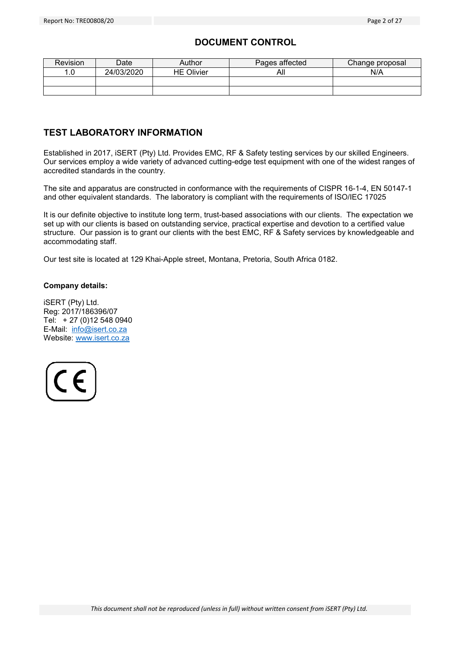# **DOCUMENT CONTROL**

| <b>Revision</b> | Date       | Author            | Pages affected | Change proposal |
|-----------------|------------|-------------------|----------------|-----------------|
|                 | 24/03/2020 | <b>HE Olivier</b> | All            | N/A             |
|                 |            |                   |                |                 |
|                 |            |                   |                |                 |

# **TEST LABORATORY INFORMATION**

Established in 2017, iSERT (Pty) Ltd. Provides EMC, RF & Safety testing services by our skilled Engineers. Our services employ a wide variety of advanced cutting-edge test equipment with one of the widest ranges of accredited standards in the country.

The site and apparatus are constructed in conformance with the requirements of CISPR 16-1-4, EN 50147-1 and other equivalent standards. The laboratory is compliant with the requirements of ISO/IEC 17025

It is our definite objective to institute long term, trust-based associations with our clients. The expectation we set up with our clients is based on outstanding service, practical expertise and devotion to a certified value structure. Our passion is to grant our clients with the best EMC, RF & Safety services by knowledgeable and accommodating staff.

Our test site is located at 129 Khai-Apple street, Montana, Pretoria, South Africa 0182.

# **Company details:**

iSERT (Pty) Ltd. Reg: 2017/186396/07 Tel: + 27 (0)12 548 0940 E-Mail: info@isert.co.za Website: www.isert.co.za

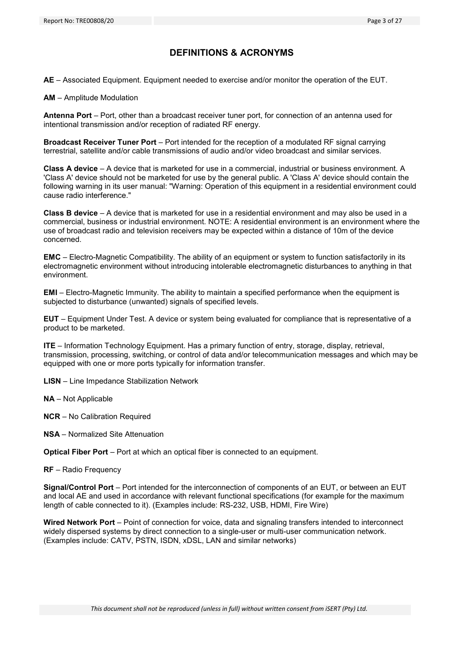# **DEFINITIONS & ACRONYMS**

**AE** – Associated Equipment. Equipment needed to exercise and/or monitor the operation of the EUT.

**AM** – Amplitude Modulation

**Antenna Port** – Port, other than a broadcast receiver tuner port, for connection of an antenna used for intentional transmission and/or reception of radiated RF energy.

**Broadcast Receiver Tuner Port** – Port intended for the reception of a modulated RF signal carrying terrestrial, satellite and/or cable transmissions of audio and/or video broadcast and similar services.

**Class A device** – A device that is marketed for use in a commercial, industrial or business environment. A 'Class A' device should not be marketed for use by the general public. A 'Class A' device should contain the following warning in its user manual: "Warning: Operation of this equipment in a residential environment could cause radio interference."

**Class B device** – A device that is marketed for use in a residential environment and may also be used in a commercial, business or industrial environment. NOTE: A residential environment is an environment where the use of broadcast radio and television receivers may be expected within a distance of 10m of the device concerned.

**EMC** – Electro-Magnetic Compatibility. The ability of an equipment or system to function satisfactorily in its electromagnetic environment without introducing intolerable electromagnetic disturbances to anything in that environment.

**EMI** – Electro-Magnetic Immunity. The ability to maintain a specified performance when the equipment is subjected to disturbance (unwanted) signals of specified levels.

**EUT** – Equipment Under Test. A device or system being evaluated for compliance that is representative of a product to be marketed.

**ITE** – Information Technology Equipment. Has a primary function of entry, storage, display, retrieval, transmission, processing, switching, or control of data and/or telecommunication messages and which may be equipped with one or more ports typically for information transfer.

**LISN** – Line Impedance Stabilization Network

**NA** – Not Applicable

**NCR** – No Calibration Required

**NSA** – Normalized Site Attenuation

**Optical Fiber Port** – Port at which an optical fiber is connected to an equipment.

**RF** – Radio Frequency

**Signal/Control Port** – Port intended for the interconnection of components of an EUT, or between an EUT and local AE and used in accordance with relevant functional specifications (for example for the maximum length of cable connected to it). (Examples include: RS-232, USB, HDMI, Fire Wire)

**Wired Network Port** – Point of connection for voice, data and signaling transfers intended to interconnect widely dispersed systems by direct connection to a single-user or multi-user communication network. (Examples include: CATV, PSTN, ISDN, xDSL, LAN and similar networks)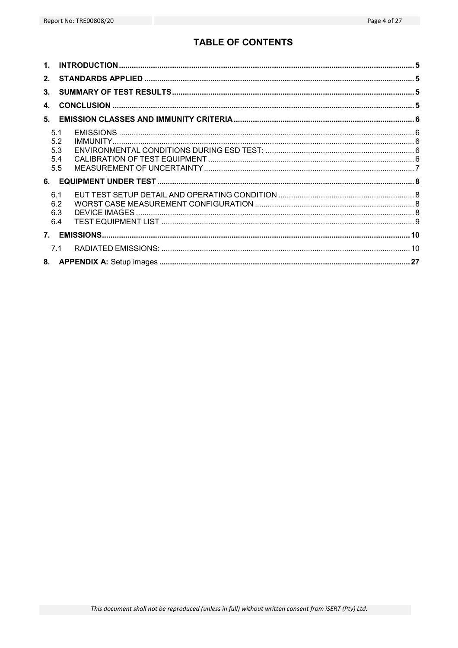# **TABLE OF CONTENTS**

| $\mathbf{1}$ . |                                 |  |
|----------------|---------------------------------|--|
| 2 <sub>1</sub> |                                 |  |
| 3 <sub>1</sub> |                                 |  |
| $\mathbf{A}$   |                                 |  |
| 5.             |                                 |  |
|                | 5.1<br>5.2<br>5.3<br>5.4<br>5.5 |  |
| 6.             |                                 |  |
|                | 6.1<br>6.2<br>6.3<br>6.4        |  |
|                |                                 |  |
|                | 7.1                             |  |
|                |                                 |  |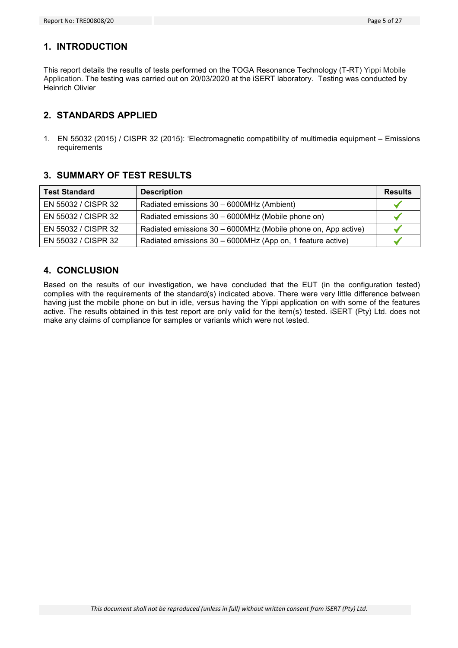# **1. INTRODUCTION**

This report details the results of tests performed on the TOGA Resonance Technology (T-RT) Yippi Mobile Application. The testing was carried out on 20/03/2020 at the iSERT laboratory. Testing was conducted by Heinrich Olivier

# **2. STANDARDS APPLIED**

1. EN 55032 (2015) / CISPR 32 (2015): 'Electromagnetic compatibility of multimedia equipment – Emissions requirements

# **3. SUMMARY OF TEST RESULTS**

| <b>Test Standard</b> | <b>Description</b>                                            | <b>Results</b> |
|----------------------|---------------------------------------------------------------|----------------|
| EN 55032 / CISPR 32  | Radiated emissions 30 - 6000MHz (Ambient)                     |                |
| EN 55032 / CISPR 32  | Radiated emissions 30 - 6000MHz (Mobile phone on)             |                |
| EN 55032 / CISPR 32  | Radiated emissions 30 - 6000MHz (Mobile phone on, App active) |                |
| EN 55032 / CISPR 32  | Radiated emissions 30 - 6000MHz (App on, 1 feature active)    |                |

# **4. CONCLUSION**

Based on the results of our investigation, we have concluded that the EUT (in the configuration tested) complies with the requirements of the standard(s) indicated above. There were very little difference between having just the mobile phone on but in idle, versus having the Yippi application on with some of the features active. The results obtained in this test report are only valid for the item(s) tested. iSERT (Pty) Ltd. does not make any claims of compliance for samples or variants which were not tested.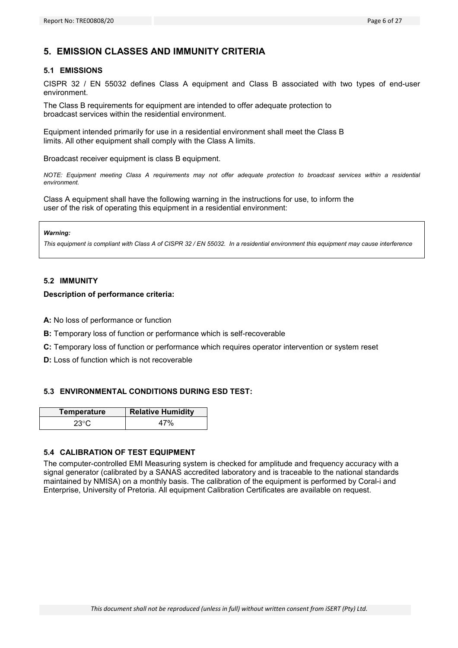# **5. EMISSION CLASSES AND IMMUNITY CRITERIA**

#### **5.1 EMISSIONS**

CISPR 32 / EN 55032 defines Class A equipment and Class B associated with two types of end-user environment.

The Class B requirements for equipment are intended to offer adequate protection to broadcast services within the residential environment.

Equipment intended primarily for use in a residential environment shall meet the Class B limits. All other equipment shall comply with the Class A limits.

Broadcast receiver equipment is class B equipment.

*NOTE: Equipment meeting Class A requirements may not offer adequate protection to broadcast services within a residential environment.* 

Class A equipment shall have the following warning in the instructions for use, to inform the user of the risk of operating this equipment in a residential environment:

#### *Warning:*

*This equipment is compliant with Class A of CISPR 32 / EN 55032. In a residential environment this equipment may cause interference* 

#### **5.2 IMMUNITY**

#### **Description of performance criteria:**

**A:** No loss of performance or function

- **B:** Temporary loss of function or performance which is self-recoverable
- **C:** Temporary loss of function or performance which requires operator intervention or system reset
- **D:** Loss of function which is not recoverable

#### **5.3 ENVIRONMENTAL CONDITIONS DURING ESD TEST:**

| Temperature  | <b>Relative Humidity</b> |
|--------------|--------------------------|
| $23^{\circ}$ |                          |

#### **5.4 CALIBRATION OF TEST EQUIPMENT**

The computer-controlled EMI Measuring system is checked for amplitude and frequency accuracy with a signal generator (calibrated by a SANAS accredited laboratory and is traceable to the national standards maintained by NMISA) on a monthly basis. The calibration of the equipment is performed by Coral-i and Enterprise, University of Pretoria. All equipment Calibration Certificates are available on request.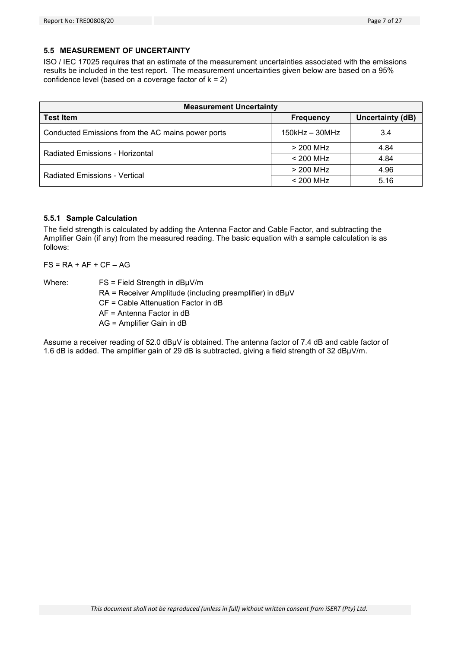#### **5.5 MEASUREMENT OF UNCERTAINTY**

ISO / IEC 17025 requires that an estimate of the measurement uncertainties associated with the emissions results be included in the test report. The measurement uncertainties given below are based on a 95% confidence level (based on a coverage factor of  $k = 2$ )

| <b>Measurement Uncertainty</b>                    |                      |                         |  |
|---------------------------------------------------|----------------------|-------------------------|--|
| <b>Test Item</b>                                  | <b>Frequency</b>     | <b>Uncertainty (dB)</b> |  |
| Conducted Emissions from the AC mains power ports | $150$ kHz – $30$ MHz | 3.4                     |  |
| Radiated Emissions - Horizontal                   | > 200 MHz            | 4.84                    |  |
|                                                   | $< 200$ MHz          | 4.84                    |  |
| <b>Radiated Emissions - Vertical</b>              | $>$ 200 MHz          | 4.96                    |  |
|                                                   | $< 200$ MHz          | 5.16                    |  |

#### **5.5.1 Sample Calculation**

The field strength is calculated by adding the Antenna Factor and Cable Factor, and subtracting the Amplifier Gain (if any) from the measured reading. The basic equation with a sample calculation is as follows:

 $FS = RA + AF + CF - AG$ 

Where:  $FS = Field Strength in dB<sub>µ</sub>V/m$ 

- RA = Receiver Amplitude (including preamplifier) in dBµV
- CF = Cable Attenuation Factor in dB

AF = Antenna Factor in dB

AG = Amplifier Gain in dB

Assume a receiver reading of 52.0 dBµV is obtained. The antenna factor of 7.4 dB and cable factor of 1.6 dB is added. The amplifier gain of 29 dB is subtracted, giving a field strength of 32 dBµV/m.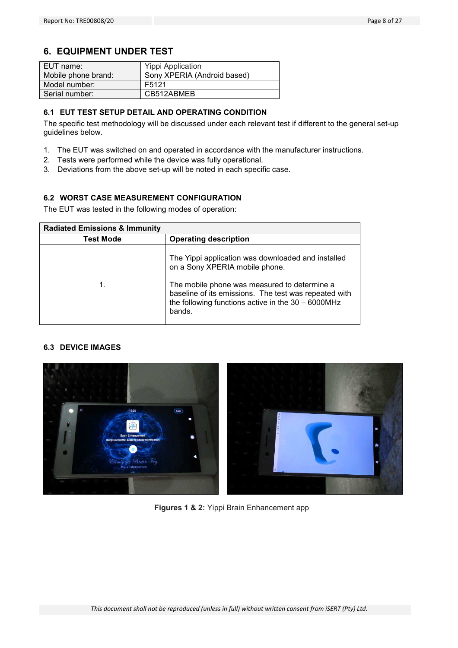# **6. EQUIPMENT UNDER TEST**

| EUT name:           | <b>Yippi Application</b>    |
|---------------------|-----------------------------|
| Mobile phone brand: | Sony XPERIA (Android based) |
| Model number:       | F5121                       |
| Serial number:      | CB512ABMEB                  |

# **6.1 EUT TEST SETUP DETAIL AND OPERATING CONDITION**

The specific test methodology will be discussed under each relevant test if different to the general set-up guidelines below.

- 1. The EUT was switched on and operated in accordance with the manufacturer instructions.
- 2. Tests were performed while the device was fully operational.
- 3. Deviations from the above set-up will be noted in each specific case.

# **6.2 WORST CASE MEASUREMENT CONFIGURATION**

The EUT was tested in the following modes of operation:

| <b>Radiated Emissions &amp; Immunity</b> |                                                                                                                                                                                                                                                                  |  |  |
|------------------------------------------|------------------------------------------------------------------------------------------------------------------------------------------------------------------------------------------------------------------------------------------------------------------|--|--|
| Test Mode                                | <b>Operating description</b>                                                                                                                                                                                                                                     |  |  |
| 1.                                       | The Yippi application was downloaded and installed<br>on a Sony XPERIA mobile phone.<br>The mobile phone was measured to determine a<br>baseline of its emissions. The test was repeated with<br>the following functions active in the $30 - 6000$ MHz<br>bands. |  |  |

#### **6.3 DEVICE IMAGES**



**Figures 1 & 2:** Yippi Brain Enhancement app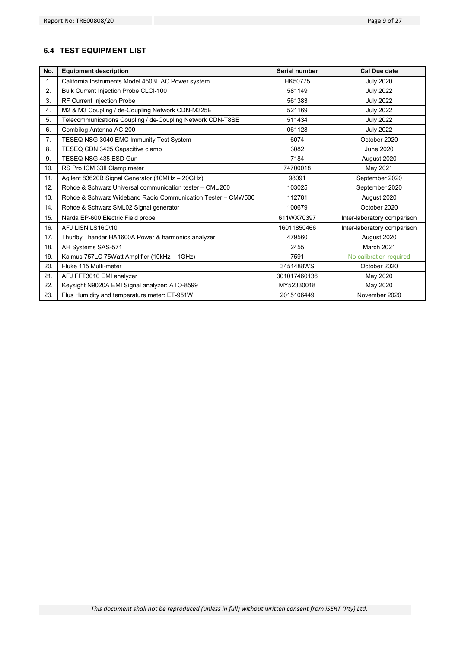# **6.4 TEST EQUIPMENT LIST**

| No. | <b>Equipment description</b>                                 | Serial number | <b>Cal Due date</b>         |
|-----|--------------------------------------------------------------|---------------|-----------------------------|
| 1.  | California Instruments Model 4503L AC Power system           | HK50775       | <b>July 2020</b>            |
| 2.  | Bulk Current Injection Probe CLCI-100                        | 581149        | <b>July 2022</b>            |
| 3.  | RF Current Injection Probe                                   | 561383        | <b>July 2022</b>            |
| 4.  | M2 & M3 Coupling / de-Coupling Network CDN-M325E             | 521169        | <b>July 2022</b>            |
| 5.  | Telecommunications Coupling / de-Coupling Network CDN-T8SE   | 511434        | <b>July 2022</b>            |
| 6.  | Combilog Antenna AC-200                                      | 061128        | <b>July 2022</b>            |
| 7.  | TESEQ NSG 3040 EMC Immunity Test System                      | 6074          | October 2020                |
| 8.  | TESEQ CDN 3425 Capacitive clamp                              | 3082          | <b>June 2020</b>            |
| 9.  | TESEO NSG 435 ESD Gun                                        | 7184          | August 2020                 |
| 10. | RS Pro ICM 33II Clamp meter                                  | 74700018      | May 2021                    |
| 11. | Agilent 83620B Signal Generator (10MHz - 20GHz)              | 98091         | September 2020              |
| 12. | Rohde & Schwarz Universal communication tester - CMU200      | 103025        | September 2020              |
| 13. | Rohde & Schwarz Wideband Radio Communication Tester - CMW500 | 112781        | August 2020                 |
| 14. | Rohde & Schwarz SML02 Signal generator                       | 100679        | October 2020                |
| 15. | Narda EP-600 Electric Field probe                            | 611WX70397    | Inter-laboratory comparison |
| 16. | AFJ LISN LS16C\10                                            | 16011850466   | Inter-laboratory comparison |
| 17. | Thurlby Thandar HA1600A Power & harmonics analyzer           | 479560        | August 2020                 |
| 18. | AH Systems SAS-571                                           | 2455          | <b>March 2021</b>           |
| 19. | Kalmus 757LC 75Watt Amplifier (10kHz - 1GHz)                 | 7591          | No calibration required     |
| 20. | Fluke 115 Multi-meter                                        | 3451488WS     | October 2020                |
| 21. | AFJ FFT3010 EMI analyzer                                     | 301017460136  | May 2020                    |
| 22. | Keysight N9020A EMI Signal analyzer: ATO-8599                | MY52330018    | May 2020                    |
| 23. | Flus Humidity and temperature meter: ET-951W                 | 2015106449    | November 2020               |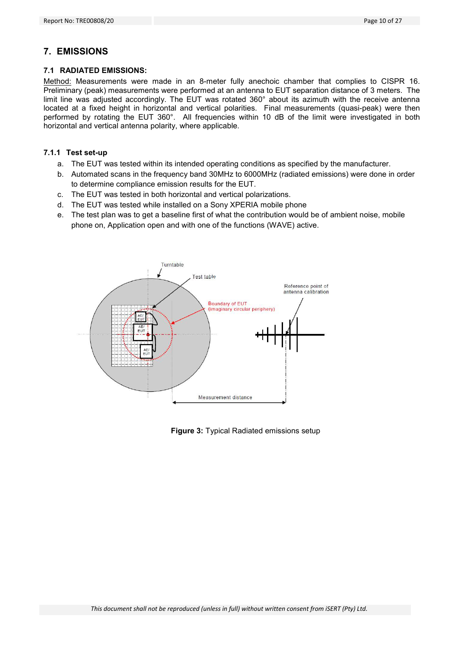# **7. EMISSIONS**

#### **7.1 RADIATED EMISSIONS:**

Method: Measurements were made in an 8-meter fully anechoic chamber that complies to CISPR 16. Preliminary (peak) measurements were performed at an antenna to EUT separation distance of 3 meters. The limit line was adjusted accordingly. The EUT was rotated 360° about its azimuth with the receive antenna located at a fixed height in horizontal and vertical polarities. Final measurements (quasi-peak) were then performed by rotating the EUT 360°. All frequencies within 10 dB of the limit were investigated in both horizontal and vertical antenna polarity, where applicable.

#### **7.1.1 Test set-up**

- a. The EUT was tested within its intended operating conditions as specified by the manufacturer.
- b. Automated scans in the frequency band 30MHz to 6000MHz (radiated emissions) were done in order to determine compliance emission results for the EUT.
- c. The EUT was tested in both horizontal and vertical polarizations.
- d. The EUT was tested while installed on a Sony XPERIA mobile phone
- e. The test plan was to get a baseline first of what the contribution would be of ambient noise, mobile phone on, Application open and with one of the functions (WAVE) active.



**Figure 3:** Typical Radiated emissions setup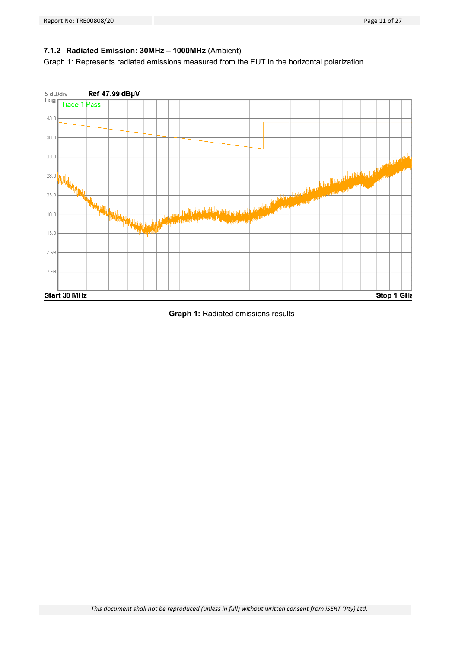# **7.1.2 Radiated Emission: 30MHz – 1000MHz** (Ambient)

Graph 1: Represents radiated emissions measured from the EUT in the horizontal polarization



**Graph 1:** Radiated emissions results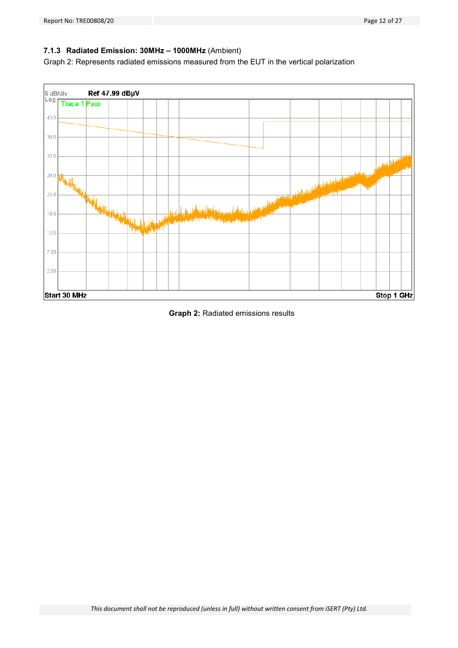# **7.1.3 Radiated Emission: 30MHz – 1000MHz** (Ambient)

Graph 2: Represents radiated emissions measured from the EUT in the vertical polarization



**Graph 2:** Radiated emissions results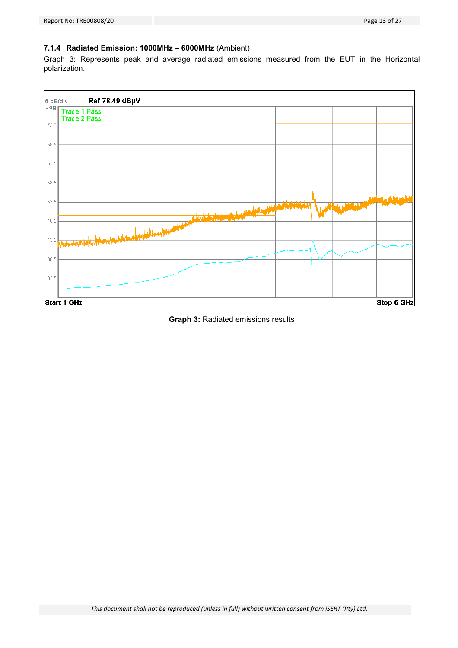# **7.1.4 Radiated Emission: 1000MHz – 6000MHz** (Ambient)

Graph 3: Represents peak and average radiated emissions measured from the EUT in the Horizontal polarization.



**Graph 3:** Radiated emissions results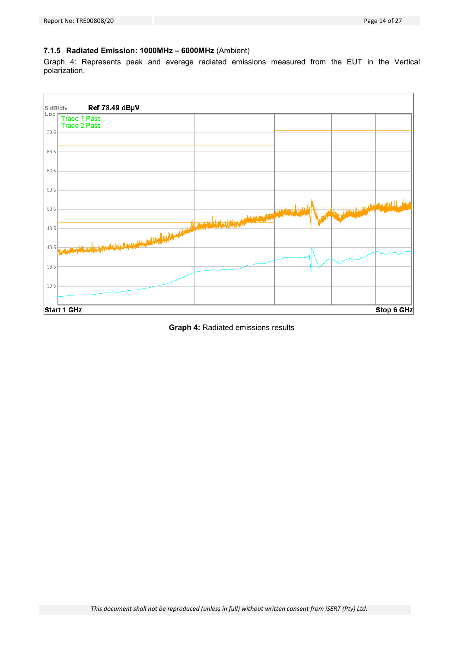# **7.1.5 Radiated Emission: 1000MHz – 6000MHz** (Ambient)

Graph 4: Represents peak and average radiated emissions measured from the EUT in the Vertical polarization.



**Graph 4:** Radiated emissions results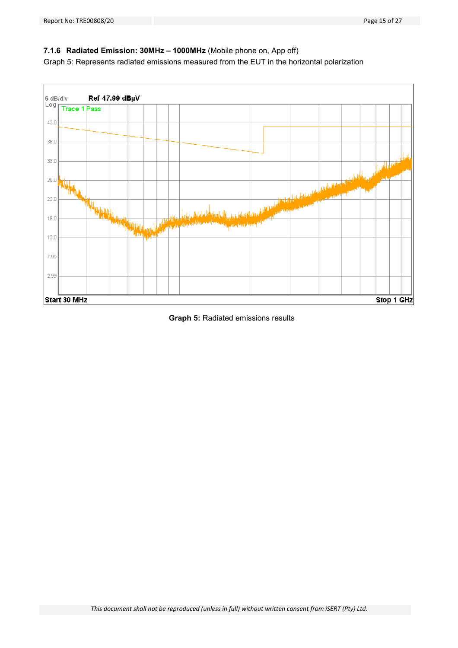### **7.1.6 Radiated Emission: 30MHz – 1000MHz** (Mobile phone on, App off)

Graph 5: Represents radiated emissions measured from the EUT in the horizontal polarization



**Graph 5:** Radiated emissions results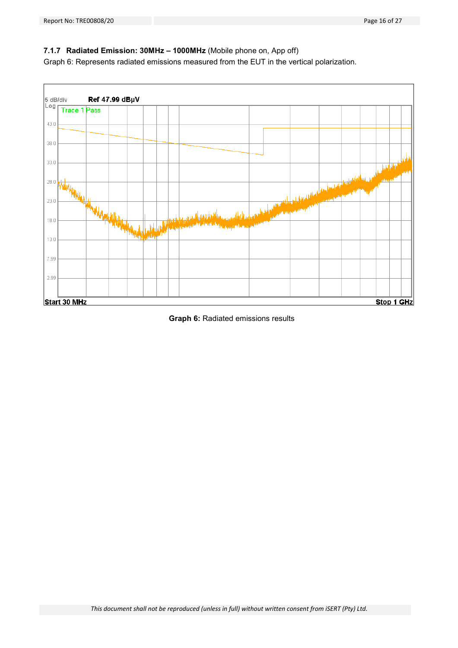### **7.1.7 Radiated Emission: 30MHz – 1000MHz** (Mobile phone on, App off)

Graph 6: Represents radiated emissions measured from the EUT in the vertical polarization.



**Graph 6:** Radiated emissions results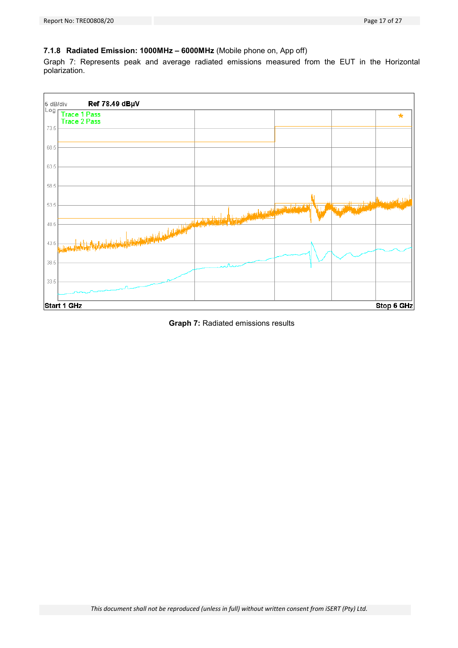# **7.1.8 Radiated Emission: 1000MHz – 6000MHz** (Mobile phone on, App off)

Graph 7: Represents peak and average radiated emissions measured from the EUT in the Horizontal polarization.



**Graph 7:** Radiated emissions results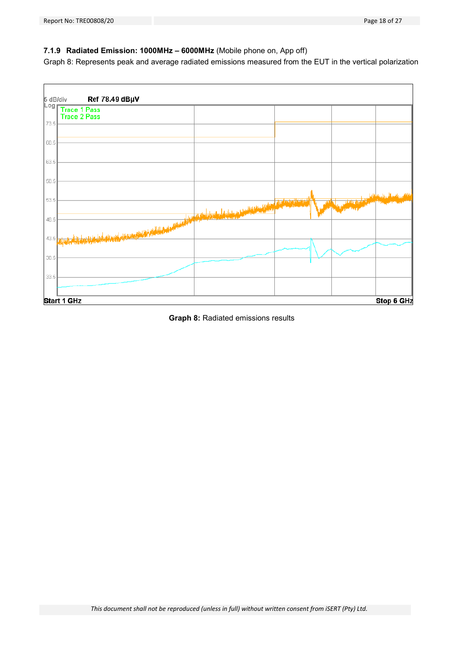# **7.1.9 Radiated Emission: 1000MHz – 6000MHz** (Mobile phone on, App off)

Graph 8: Represents peak and average radiated emissions measured from the EUT in the vertical polarization



**Graph 8:** Radiated emissions results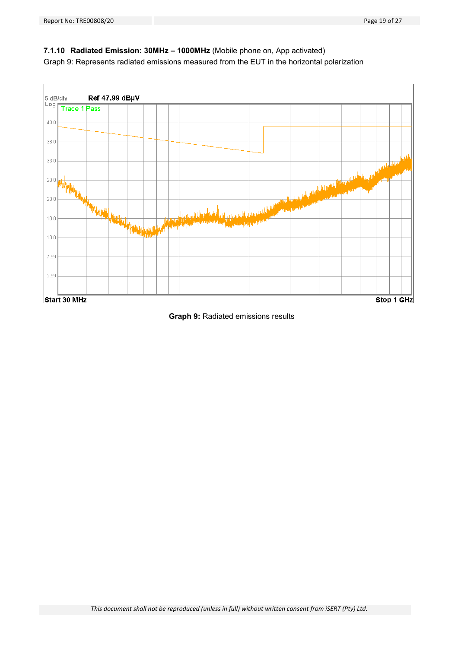# **7.1.10 Radiated Emission: 30MHz – 1000MHz** (Mobile phone on, App activated)

Graph 9: Represents radiated emissions measured from the EUT in the horizontal polarization



#### **Graph 9:** Radiated emissions results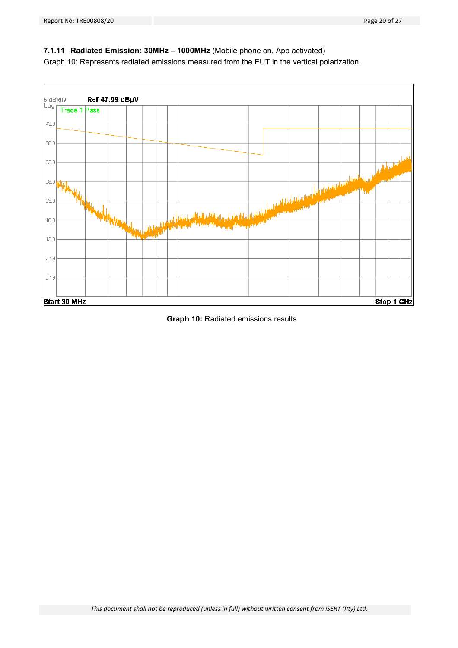# **7.1.11 Radiated Emission: 30MHz – 1000MHz** (Mobile phone on, App activated)

Graph 10: Represents radiated emissions measured from the EUT in the vertical polarization.



**Graph 10:** Radiated emissions results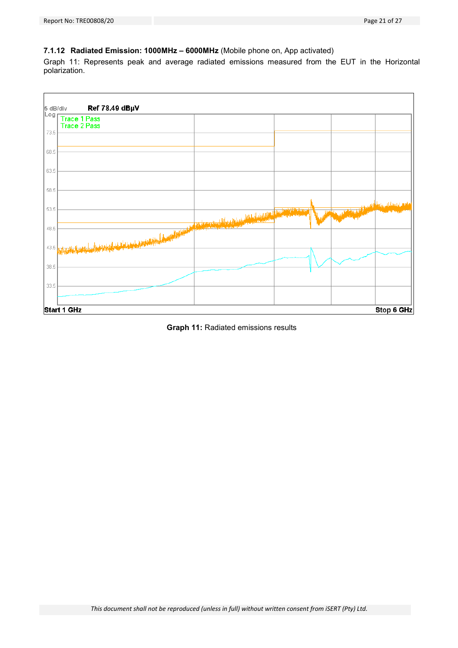# **7.1.12 Radiated Emission: 1000MHz – 6000MHz** (Mobile phone on, App activated)

Graph 11: Represents peak and average radiated emissions measured from the EUT in the Horizontal polarization.



**Graph 11:** Radiated emissions results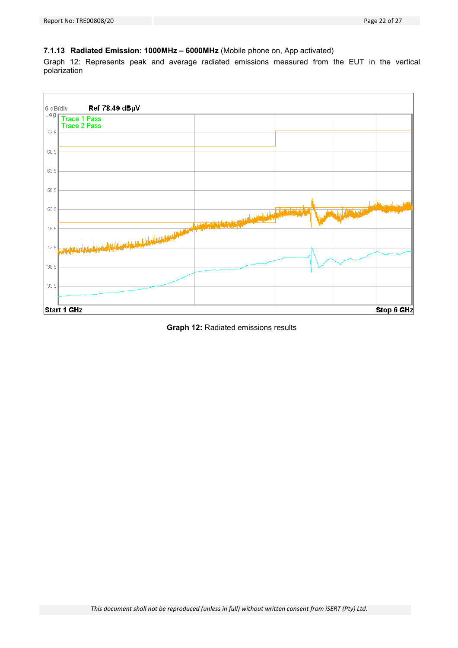# **7.1.13 Radiated Emission: 1000MHz – 6000MHz** (Mobile phone on, App activated)

Graph 12: Represents peak and average radiated emissions measured from the EUT in the vertical polarization



**Graph 12:** Radiated emissions results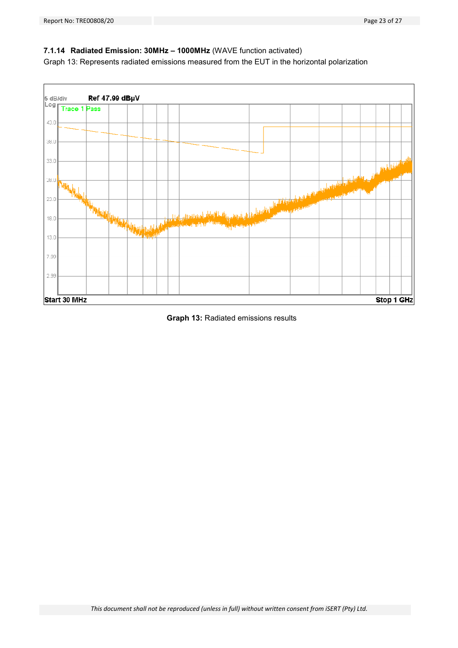# **7.1.14 Radiated Emission: 30MHz – 1000MHz** (WAVE function activated)

Graph 13: Represents radiated emissions measured from the EUT in the horizontal polarization



**Graph 13:** Radiated emissions results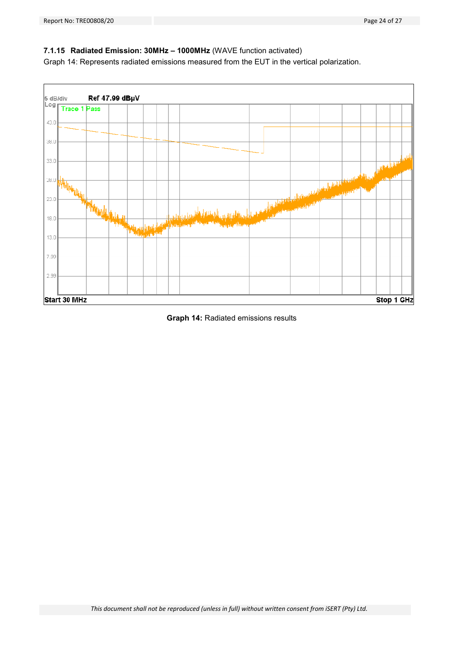# **7.1.15 Radiated Emission: 30MHz – 1000MHz** (WAVE function activated)

Graph 14: Represents radiated emissions measured from the EUT in the vertical polarization.



#### **Graph 14:** Radiated emissions results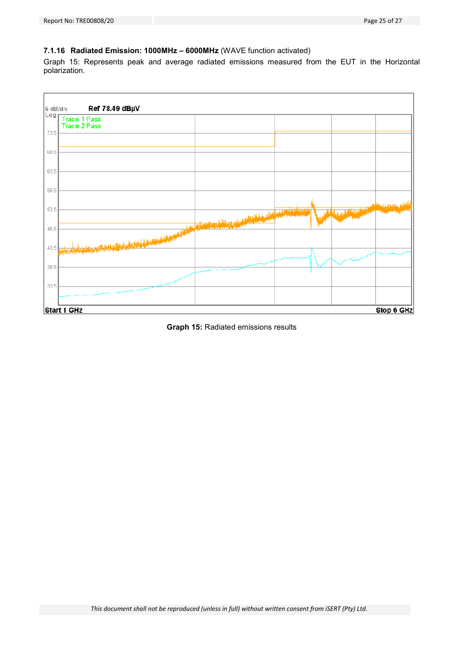# **7.1.16 Radiated Emission: 1000MHz – 6000MHz** (WAVE function activated)

Graph 15: Represents peak and average radiated emissions measured from the EUT in the Horizontal polarization.



**Graph 15:** Radiated emissions results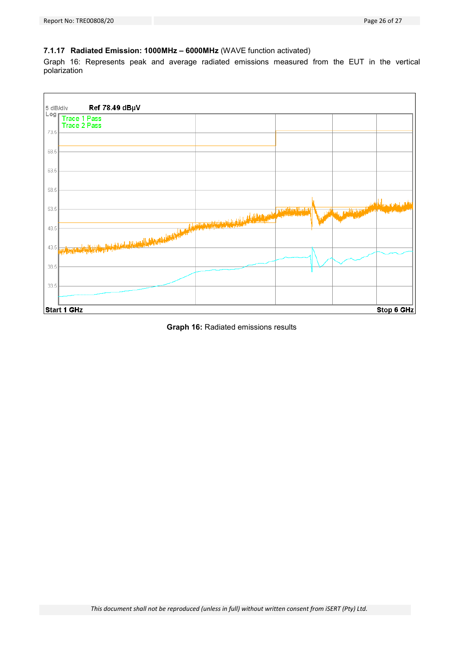# **7.1.17 Radiated Emission: 1000MHz – 6000MHz** (WAVE function activated)

Graph 16: Represents peak and average radiated emissions measured from the EUT in the vertical polarization



**Graph 16:** Radiated emissions results